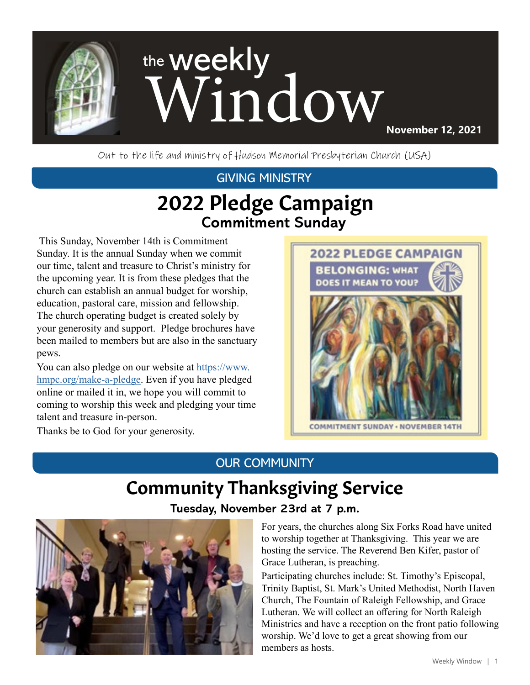

Out to the life and ministry of Hudson Memorial Presbyterian Church (USA)

### GIVING MINISTRY

# 2022 Pledge Campaign **Commitment Sunday**

 This Sunday, November 14th is Commitment Sunday. It is the annual Sunday when we commit our time, talent and treasure to Christ's ministry for the upcoming year. It is from these pledges that the church can establish an annual budget for worship, education, pastoral care, mission and fellowship. The church operating budget is created solely by your generosity and support. Pledge brochures have been mailed to members but are also in the sanctuary pews.

You can also pledge on our website at [https://www.](https://www.hmpc.org/make-a-pledge) [hmpc.org/make-a-pledge.](https://www.hmpc.org/make-a-pledge) Even if you have pledged online or mailed it in, we hope you will commit to coming to worship this week and pledging your time talent and treasure in-person.

Thanks be to God for your generosity.



### OUR COMMUNITY

# Community Thanksgiving Service

### **Tuesday, November 23rd at 7 p.m.**



For years, the churches along Six Forks Road have united to worship together at Thanksgiving. This year we are hosting the service. The Reverend Ben Kifer, pastor of Grace Lutheran, is preaching.

Participating churches include: St. Timothy's Episcopal, Trinity Baptist, St. Mark's United Methodist, North Haven Church, The Fountain of Raleigh Fellowship, and Grace Lutheran. We will collect an offering for North Raleigh Ministries and have a reception on the front patio following worship. We'd love to get a great showing from our members as hosts.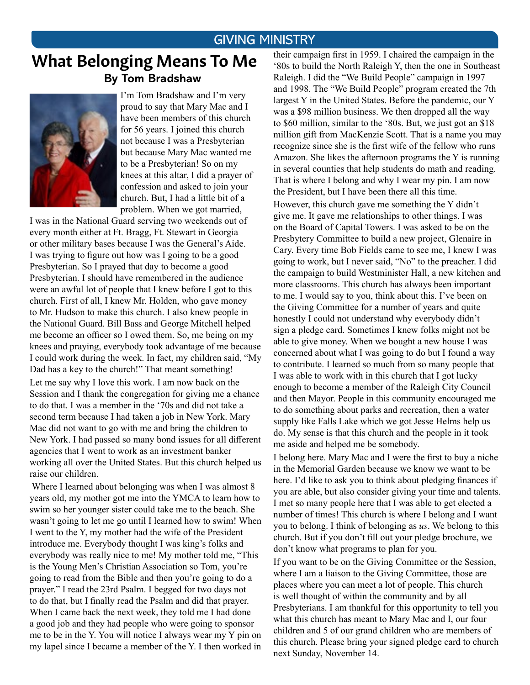#### GIVING MINISTRY

### What Belonging Means To Me **By Tom Bradshaw**



I'm Tom Bradshaw and I'm very proud to say that Mary Mac and I have been members of this church for 56 years. I joined this church not because I was a Presbyterian but because Mary Mac wanted me to be a Presbyterian! So on my knees at this altar, I did a prayer of confession and asked to join your church. But, I had a little bit of a problem. When we got married,

I was in the National Guard serving two weekends out of every month either at Ft. Bragg, Ft. Stewart in Georgia or other military bases because I was the General's Aide. I was trying to figure out how was I going to be a good Presbyterian. So I prayed that day to become a good Presbyterian. I should have remembered in the audience were an awful lot of people that I knew before I got to this church. First of all, I knew Mr. Holden, who gave money to Mr. Hudson to make this church. I also knew people in the National Guard. Bill Bass and George Mitchell helped me become an officer so I owed them. So, me being on my knees and praying, everybody took advantage of me because I could work during the week. In fact, my children said, "My Dad has a key to the church!" That meant something! Let me say why I love this work. I am now back on the Session and I thank the congregation for giving me a chance to do that. I was a member in the '70s and did not take a second term because I had taken a job in New York. Mary Mac did not want to go with me and bring the children to New York. I had passed so many bond issues for all different agencies that I went to work as an investment banker working all over the United States. But this church helped us raise our children.

 Where I learned about belonging was when I was almost 8 years old, my mother got me into the YMCA to learn how to swim so her younger sister could take me to the beach. She wasn't going to let me go until I learned how to swim! When I went to the Y, my mother had the wife of the President introduce me. Everybody thought I was king's folks and everybody was really nice to me! My mother told me, "This is the Young Men's Christian Association so Tom, you're going to read from the Bible and then you're going to do a prayer." I read the 23rd Psalm. I begged for two days not to do that, but I finally read the Psalm and did that prayer. When I came back the next week, they told me I had done a good job and they had people who were going to sponsor me to be in the Y. You will notice I always wear my Y pin on my lapel since I became a member of the Y. I then worked in their campaign first in 1959. I chaired the campaign in the '80s to build the North Raleigh Y, then the one in Southeast Raleigh. I did the "We Build People" campaign in 1997 and 1998. The "We Build People" program created the 7th largest Y in the United States. Before the pandemic, our Y was a \$98 million business. We then dropped all the way to \$60 million, similar to the '80s. But, we just got an \$18 million gift from MacKenzie Scott. That is a name you may recognize since she is the first wife of the fellow who runs Amazon. She likes the afternoon programs the Y is running in several counties that help students do math and reading. That is where I belong and why I wear my pin. I am now the President, but I have been there all this time.

However, this church gave me something the Y didn't give me. It gave me relationships to other things. I was on the Board of Capital Towers. I was asked to be on the Presbytery Committee to build a new project, Glenaire in Cary. Every time Bob Fields came to see me, I knew I was going to work, but I never said, "No" to the preacher. I did the campaign to build Westminister Hall, a new kitchen and more classrooms. This church has always been important to me. I would say to you, think about this. I've been on the Giving Committee for a number of years and quite honestly I could not understand why everybody didn't sign a pledge card. Sometimes I knew folks might not be able to give money. When we bought a new house I was concerned about what I was going to do but I found a way to contribute. I learned so much from so many people that I was able to work with in this church that I got lucky enough to become a member of the Raleigh City Council and then Mayor. People in this community encouraged me to do something about parks and recreation, then a water supply like Falls Lake which we got Jesse Helms help us do. My sense is that this church and the people in it took me aside and helped me be somebody.

I belong here. Mary Mac and I were the first to buy a niche in the Memorial Garden because we know we want to be here. I'd like to ask you to think about pledging finances if you are able, but also consider giving your time and talents. I met so many people here that I was able to get elected a number of times! This church is where I belong and I want you to belong. I think of belonging as *us*. We belong to this church. But if you don't fill out your pledge brochure, we don't know what programs to plan for you.

If you want to be on the Giving Committee or the Session, where I am a liaison to the Giving Committee, those are places where you can meet a lot of people. This church is well thought of within the community and by all Presbyterians. I am thankful for this opportunity to tell you what this church has meant to Mary Mac and I, our four children and 5 of our grand children who are members of this church. Please bring your signed pledge card to church next Sunday, November 14.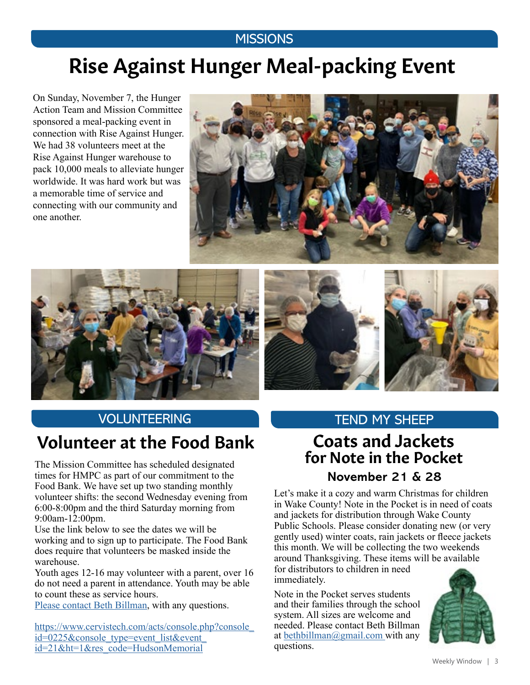### **MISSIONS**

# Rise Against Hunger Meal-packing Event

On Sunday, November 7, the Hunger Action Team and Mission Committee sponsored a meal-packing event in connection with Rise Against Hunger. We had 38 volunteers meet at the Rise Against Hunger warehouse to pack 10,000 meals to alleviate hunger worldwide. It was hard work but was a memorable time of service and connecting with our community and one another.







# Volunteer at the Food Bank

times for HMPC as part of our commitment to the Food Bank. We have set up two standing monthly volunteer shifts: the second Wednesday evening from 6:00-8:00pm and the third Saturday morning from 9:00am-12:00pm.

Use the link below to see the dates we will be working and to sign up to participate. The Food Bank does require that volunteers be masked inside the warehouse.

Youth ages 12-16 may volunteer with a parent, over 16 do not need a parent in attendance. Youth may be able to count these as service hours.

[Please contact Beth Billman,](mailto:bbillman%40nc.rr.com?subject=) with any questions.

[https://www.cervistech.com/acts/console.php?console\\_](https://www.cervistech.com/acts/console.php?console_id=0225&console_type=event_list&event_id=21&ht=1&res_code=HudsonMemorial) [id=0225&console\\_type=event\\_list&event\\_](https://www.cervistech.com/acts/console.php?console_id=0225&console_type=event_list&event_id=21&ht=1&res_code=HudsonMemorial) [id=21&ht=1&res\\_code=HudsonMemorial](https://www.cervistech.com/acts/console.php?console_id=0225&console_type=event_list&event_id=21&ht=1&res_code=HudsonMemorial)

### VOLUNTEERING TEND MY SHEEP

# Coats and Jackets for Note in the Pocket The Mission Committee has scheduled designated

#### **November 21 & 28**

Let's make it a cozy and warm Christmas for children in Wake County! Note in the Pocket is in need of coats and jackets for distribution through Wake County Public Schools. Please consider donating new (or very gently used) winter coats, rain jackets or fleece jackets this month. We will be collecting the two weekends around Thanksgiving. These items will be available for distributors to children in need immediately.

Note in the Pocket serves students and their families through the school system. All sizes are welcome and needed. Please contact Beth Billman at [bethbillman@gmail.com](mailto:bethbillman%40gmail.com%20?subject=) with any questions.

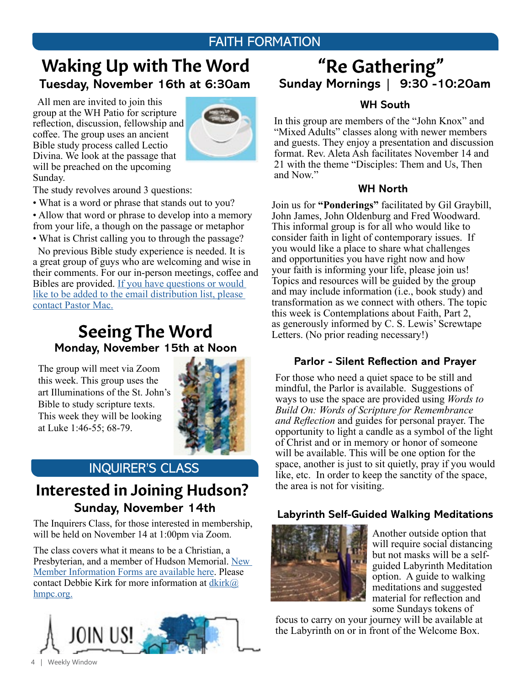### FAITH FORMATION

### Waking Up with The Word **Tuesday, November 16th at 6:30am Sunday Mornings | 9:30 -10:20am**

 All men are invited to join this group at the WH Patio for scripture reflection, discussion, fellowship and coffee. The group uses an ancient Bible study process called Lectio Divina. We look at the passage that will be preached on the upcoming Sunday.



The study revolves around 3 questions:

• What is a word or phrase that stands out to you?

• Allow that word or phrase to develop into a memory from your life, a though on the passage or metaphor

• What is Christ calling you to through the passage? No previous Bible study experience is needed. It is

a great group of guys who are welcoming and wise in their comments. For our in-person meetings, coffee and Bibles are provided. [If you have questions or would](mailto:mschafer%40hmpc.org?subject=)  like to be added to the email distribution list, please [contact Pastor Mac](mailto:mschafer%40hmpc.org?subject=).

### Seeing The Word  **Monday, November 15th at Noon**

The group will meet via Zoom this week. This group uses the art Illuminations of the St. John's Bible to study scripture texts. This week they will be looking at Luke 1:46-55; 68-79.



### INQUIRER'S CLASS

### **Sunday, November 14th** Interested in Joining Hudson?

The Inquirers Class, for those interested in membership, will be held on November 14 at 1:00pm via Zoom.

The class covers what it means to be a Christian, a Presbyterian, and a member of Hudson Memorial. New [Member Information Forms are available here](https://www.hmpc.org/join-hmpc). Please contact Debbie Kirk for more information at  $dkirk@$ [hmpc.org](mailto:dkirk%40hmpc.org?subject=).



# "Re Gathering"

#### **WH South**

In this group are members of the "John Knox" and "Mixed Adults" classes along with newer members and guests. They enjoy a presentation and discussion format. Rev. Aleta Ash facilitates November 14 and 21 with the theme "Disciples: Them and Us, Then and Now."

#### **WH North**

Join us for **"Ponderings"** facilitated by Gil Graybill, John James, John Oldenburg and Fred Woodward. This informal group is for all who would like to consider faith in light of contemporary issues. If you would like a place to share what challenges and opportunities you have right now and how your faith is informing your life, please join us! Topics and resources will be guided by the group and may include information (i.e., book study) and transformation as we connect with others. The topic this week is Contemplations about Faith, Part 2, as generously informed by C. S. Lewis' Screwtape Letters. (No prior reading necessary!)

#### **Parlor - Silent Reflection and Prayer**

For those who need a quiet space to be still and mindful, the Parlor is available. Suggestions of ways to use the space are provided using *Words to Build On: Words of Scripture for Remembrance and Reflection* and guides for personal prayer. The opportunity to light a candle as a symbol of the light of Christ and or in memory or honor of someone will be available. This will be one option for the space, another is just to sit quietly, pray if you would like, etc. In order to keep the sanctity of the space, the area is not for visiting.

#### **Labyrinth Self-Guided Walking Meditations**



Another outside option that will require social distancing but not masks will be a selfguided Labyrinth Meditation option. A guide to walking meditations and suggested material for reflection and some Sundays tokens of

focus to carry on your journey will be available at the Labyrinth on or in front of the Welcome Box.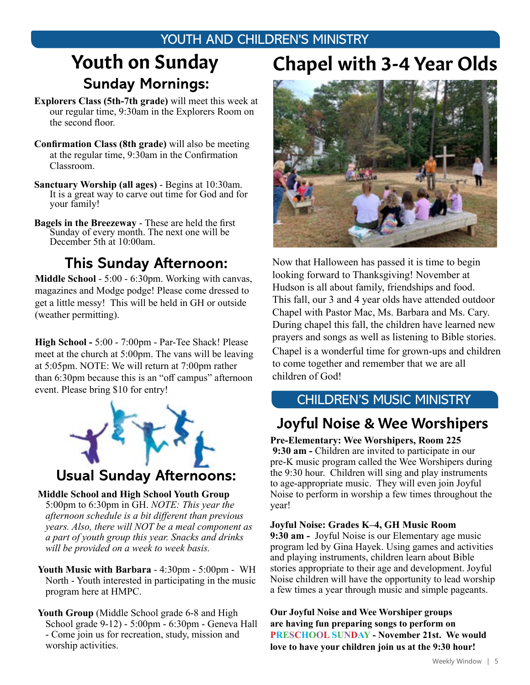### YOUTH AND CHILDREN'S MINISTRY

# Youth on Sunday **Sunday Mornings:**

- **Explorers Class (5th-7th grade)** will meet this week at our regular time, 9:30am in the Explorers Room on the second floor.
- **Confirmation Class (8th grade)** will also be meeting at the regular time, 9:30am in the Confirmation Classroom.
- **Sanctuary Worship (all ages)**  Begins at 10:30am. It is a great way to carve out time for God and for your family!
- **Bagels in the Breezeway**  These are held the first Sunday of every month. The next one will be December 5th at 10:00am.

### **This Sunday Afternoon:**

**Middle School** - 5:00 - 6:30pm. Working with canvas, magazines and Modge podge! Please come dressed to get a little messy! This will be held in GH or outside (weather permitting).

**High School -** 5:00 - 7:00pm - Par-Tee Shack! Please meet at the church at 5:00pm. The vans will be leaving at 5:05pm. NOTE: We will return at 7:00pm rather than 6:30pm because this is an "off campus" afternoon event. Please bring \$10 for entry!



### **Usual Sunday Afternoons:**

#### **Middle School and High School Youth Group**

5:00pm to 6:30pm in GH. *NOTE: This year the afternoon schedule is a bit different than previous years. Also, there will NOT be a meal component as a part of youth group this year. Snacks and drinks will be provided on a week to week basis.* 

- **Youth Music with Barbara** 4:30pm 5:00pm WH North - Youth interested in participating in the music program here at HMPC.
- **Youth Group** (Middle School grade 6-8 and High School grade 9-12) - 5:00pm - 6:30pm - Geneva Hall - Come join us for recreation, study, mission and worship activities.

# Chapel with 3-4 Year Olds



Now that Halloween has passed it is time to begin looking forward to Thanksgiving! November at Hudson is all about family, friendships and food. This fall, our 3 and 4 year olds have attended outdoor Chapel with Pastor Mac, Ms. Barbara and Ms. Cary. During chapel this fall, the children have learned new prayers and songs as well as listening to Bible stories. Chapel is a wonderful time for grown-ups and children to come together and remember that we are all children of God!

#### CHILDREN'S MUSIC MINISTRY

### Joyful Noise & Wee Worshipers

**Pre-Elementary: Wee Worshipers, Room 225 9:30 am -** Children are invited to participate in our pre-K music program called the Wee Worshipers during the 9:30 hour. Children will sing and play instruments to age-appropriate music. They will even join Joyful Noise to perform in worship a few times throughout the year!

#### **Joyful Noise: Grades K–4, GH Music Room**

**9:30 am -** Joyful Noise is our Elementary age music program led by Gina Hayek. Using games and activities and playing instruments, children learn about Bible stories appropriate to their age and development. Joyful Noise children will have the opportunity to lead worship a few times a year through music and simple pageants.

**Our Joyful Noise and Wee Worshiper groups are having fun preparing songs to perform on PRESCHOOL SUNDAY - November 21st. We would love to have your children join us at the 9:30 hour!**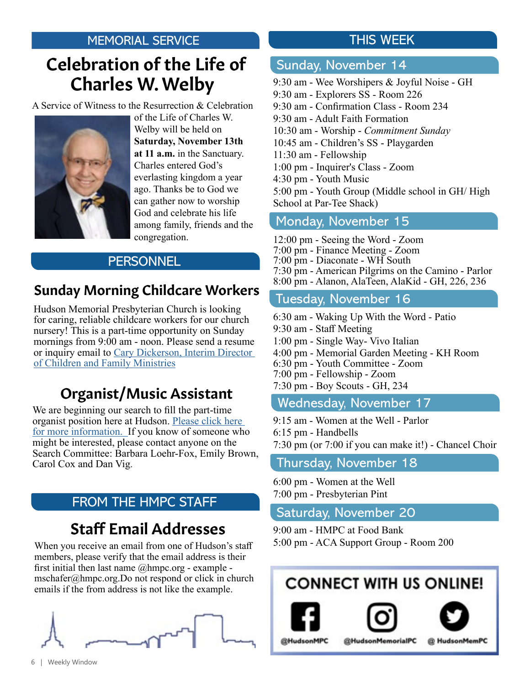# Charles W. Welby Celebration of the Life of

A Service of Witness to the Resurrection & Celebration



of the Life of Charles W. Welby will be held on **Saturday, November 13th at 11 a.m.** in the Sanctuary. Charles entered God's everlasting kingdom a year ago. Thanks be to God we can gather now to worship God and celebrate his life among family, friends and the congregation.

### **PERSONNEL**

### Sunday Morning Childcare Workers

Hudson Memorial Presbyterian Church is looking for caring, reliable childcare workers for our church nursery! This is a part-time opportunity on Sunday mornings from 9:00 am - noon. Please send a resume or inquiry email to [Cary Dickerson, Interim Director](mailto:cdickerson%40hmpc.org?subject=)  [of Children and Family Ministries](mailto:cdickerson%40hmpc.org?subject=)

### Organist/Music Assistant

We are beginning our search to fill the part-time organist position here at Hudson. [Please click here](https://www.hmpc.org/job-openings)  [for more information.](https://www.hmpc.org/job-openings) If you know of someone who might be interested, please contact anyone on the Search Committee: Barbara Loehr-Fox, Emily Brown, Carol Cox and Dan Vig.

### FROM THE HMPC STAFF

## Staff Email Addresses

When you receive an email from one of Hudson's staff members, please verify that the email address is their first initial then last name  $@hmpc.org - example$ mschafer@hmpc.org.Do not respond or click in church emails if the from address is not like the example.



### THIS WEEK

### Sunday, November 14

9:30 am - Wee Worshipers & Joyful Noise - GH 9:30 am - Explorers SS - Room 226 9:30 am - Confirmation Class - Room 234 9:30 am - Adult Faith Formation 10:30 am - Worship - *Commitment Sunday* 10:45 am - Children's SS - Playgarden 11:30 am - Fellowship 1:00 pm - Inquirer's Class - Zoom 4:30 pm - Youth Music 5:00 pm - Youth Group (Middle school in GH/ High School at Par-Tee Shack)

#### Monday, November 15

12:00 pm - Seeing the Word - Zoom 7:00 pm - Finance Meeting - Zoom 7:00 pm - Diaconate - WH South 7:30 pm - American Pilgrims on the Camino - Parlor 8:00 pm - Alanon, AlaTeen, AlaKid - GH, 226, 236

### Tuesday, November 16

6:30 am - Waking Up With the Word - Patio 9:30 am - Staff Meeting 1:00 pm - Single Way- Vivo Italian 4:00 pm - Memorial Garden Meeting - KH Room 6:30 pm - Youth Committee - Zoom 7:00 pm - Fellowship - Zoom 7:30 pm - Boy Scouts - GH, 234 Wednesday, November 17

9:15 am - Women at the Well - Parlor 6:15 pm - Handbells 7:30 pm (or 7:00 if you can make it!) - Chancel Choir

### Thursday, November 18

6:00 pm - Women at the Well 7:00 pm - Presbyterian Pint

### Saturday, November 20

9:00 am - HMPC at Food Bank 5:00 pm - ACA Support Group - Room 200

# **CONNECT WITH US ONLINE!**





@HudsonMPC

@HudsonMemorialPC @ HudsonMemPC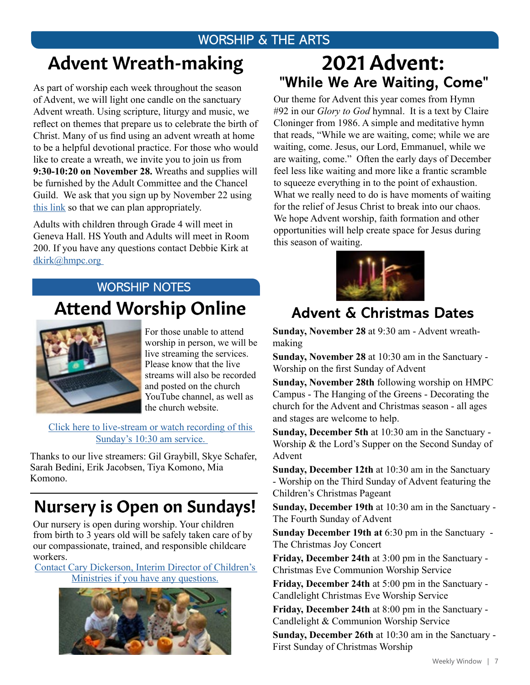### WORSHIP & THE ARTS

# Advent Wreath-making

As part of worship each week throughout the season of Advent, we will light one candle on the sanctuary Advent wreath. Using scripture, liturgy and music, we reflect on themes that prepare us to celebrate the birth of Christ. Many of us find using an advent wreath at home to be a helpful devotional practice. For those who would like to create a wreath, we invite you to join us from **9:30-10:20 on November 28.** Wreaths and supplies will be furnished by the Adult Committee and the Chancel Guild. We ask that you sign up by November 22 using [this link](https://www.hmpc.org/advent-wreath-signup) so that we can plan appropriately.

Adults with children through Grade 4 will meet in Geneva Hall. HS Youth and Adults will meet in Room 200. If you have any questions contact Debbie Kirk at [dkirk@hmpc.org](mailto:dkirk%40hmpc.org%20?subject=) 

### Attend Worship Online WORSHIP NOTES



For those unable to attend worship in person, we will be live streaming the services. Please know that the live streams will also be recorded and posted on the church YouTube channel, as well as the church website.

Click here to live-stream or watch recording of this [Sunday's 10:30 am service.](https://www.youtube.com/channel/UCuYf7XqKx9g_Mc0_BsPkWlA)

Thanks to our live streamers: Gil Graybill, Skye Schafer, Sarah Bedini, Erik Jacobsen, Tiya Komono, Mia Komono.

# Nursery is Open on Sundays!

Our nursery is open during worship. Your children from birth to 3 years old will be safely taken care of by our compassionate, trained, and responsible childcare workers.

[Contact Cary Dickerson, Interim Director of Children's](mailto:cdickerson%40hmpc.org?subject=)  [Ministries if you have any questions.](mailto:cdickerson%40hmpc.org?subject=)



# **"While We Are Waiting, Come"**  2021 Advent:

Our theme for Advent this year comes from Hymn #92 in our *Glory to God* hymnal. It is a text by Claire Cloninger from 1986. A simple and meditative hymn that reads, "While we are waiting, come; while we are waiting, come. Jesus, our Lord, Emmanuel, while we are waiting, come." Often the early days of December feel less like waiting and more like a frantic scramble to squeeze everything in to the point of exhaustion. What we really need to do is have moments of waiting for the relief of Jesus Christ to break into our chaos. We hope Advent worship, faith formation and other opportunities will help create space for Jesus during this season of waiting.



### **Advent & Christmas Dates**

**Sunday, November 28** at 9:30 am - Advent wreathmaking

**Sunday, November 28** at 10:30 am in the Sanctuary - Worship on the first Sunday of Advent

**Sunday, November 28th** following worship on HMPC Campus - The Hanging of the Greens - Decorating the church for the Advent and Christmas season - all ages and stages are welcome to help.

**Sunday, December 5th** at 10:30 am in the Sanctuary - Worship & the Lord's Supper on the Second Sunday of Advent

**Sunday, December 12th** at 10:30 am in the Sanctuary - Worship on the Third Sunday of Advent featuring the Children's Christmas Pageant

**Sunday, December 19th** at 10:30 am in the Sanctuary - The Fourth Sunday of Advent

**Sunday December 19th at** 6:30 pm in the Sanctuary - The Christmas Joy Concert

**Friday, December 24th** at 3:00 pm in the Sanctuary - Christmas Eve Communion Worship Service

**Friday, December 24th** at 5:00 pm in the Sanctuary - Candlelight Christmas Eve Worship Service

**Friday, December 24th** at 8:00 pm in the Sanctuary - Candlelight & Communion Worship Service

**Sunday, December 26th** at 10:30 am in the Sanctuary - First Sunday of Christmas Worship